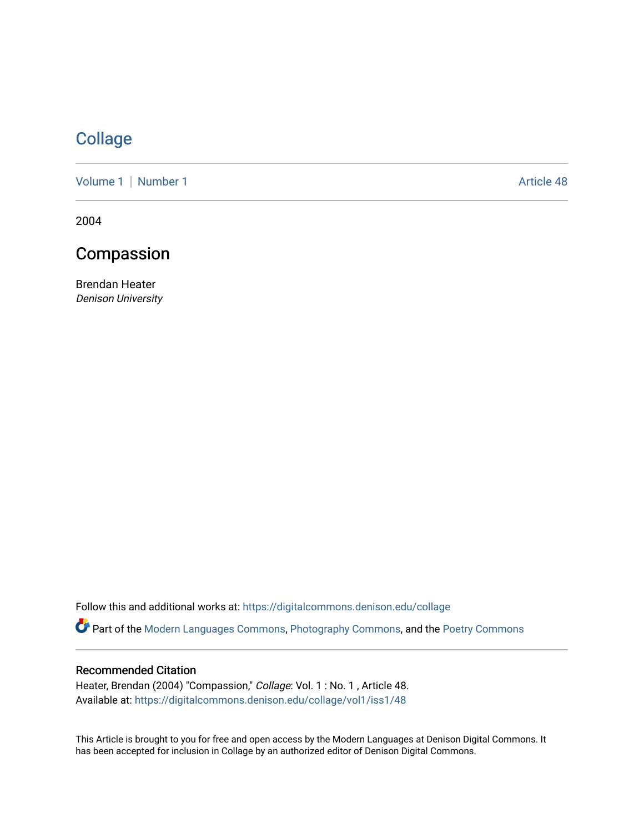## **[Collage](https://digitalcommons.denison.edu/collage)**

[Volume 1](https://digitalcommons.denison.edu/collage/vol1) | [Number 1](https://digitalcommons.denison.edu/collage/vol1/iss1) Article 48

2004

## Compassion

Brendan Heater Denison University

Follow this and additional works at: [https://digitalcommons.denison.edu/collage](https://digitalcommons.denison.edu/collage?utm_source=digitalcommons.denison.edu%2Fcollage%2Fvol1%2Fiss1%2F48&utm_medium=PDF&utm_campaign=PDFCoverPages) 

Part of the [Modern Languages Commons,](http://network.bepress.com/hgg/discipline/1130?utm_source=digitalcommons.denison.edu%2Fcollage%2Fvol1%2Fiss1%2F48&utm_medium=PDF&utm_campaign=PDFCoverPages) [Photography Commons](http://network.bepress.com/hgg/discipline/1142?utm_source=digitalcommons.denison.edu%2Fcollage%2Fvol1%2Fiss1%2F48&utm_medium=PDF&utm_campaign=PDFCoverPages), and the [Poetry Commons](http://network.bepress.com/hgg/discipline/1153?utm_source=digitalcommons.denison.edu%2Fcollage%2Fvol1%2Fiss1%2F48&utm_medium=PDF&utm_campaign=PDFCoverPages)

### Recommended Citation

Heater, Brendan (2004) "Compassion," Collage: Vol. 1 : No. 1, Article 48. Available at: [https://digitalcommons.denison.edu/collage/vol1/iss1/48](https://digitalcommons.denison.edu/collage/vol1/iss1/48?utm_source=digitalcommons.denison.edu%2Fcollage%2Fvol1%2Fiss1%2F48&utm_medium=PDF&utm_campaign=PDFCoverPages)

This Article is brought to you for free and open access by the Modern Languages at Denison Digital Commons. It has been accepted for inclusion in Collage by an authorized editor of Denison Digital Commons.